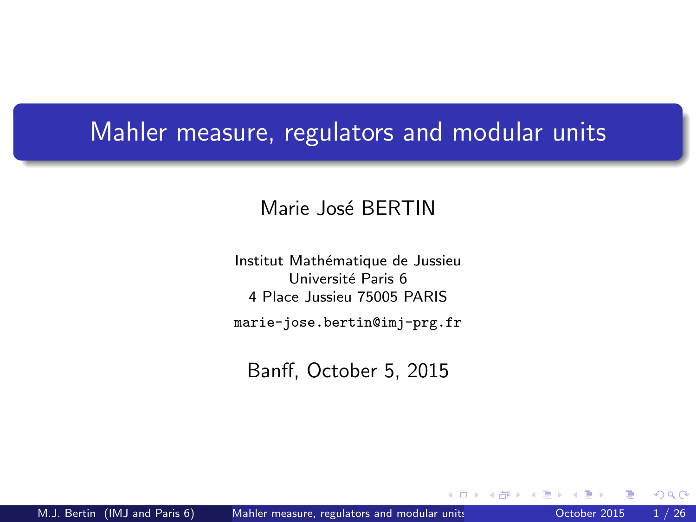### Mahler measure, regulators and modular units

Marie José BERTIN

Institut Mathématique de Jussieu Université Paris 6 4 Place Jussieu 75005 PARIS

marie-jose.bertin@imj-prg.fr

<span id="page-0-0"></span>Banff, October 5, 2015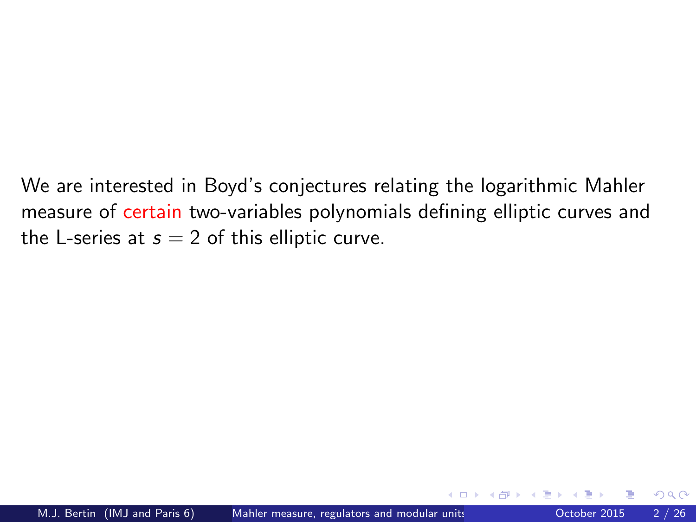We are interested in Boyd's conjectures relating the logarithmic Mahler measure of certain two-variables polynomials defining elliptic curves and the L-series at  $s = 2$  of this elliptic curve.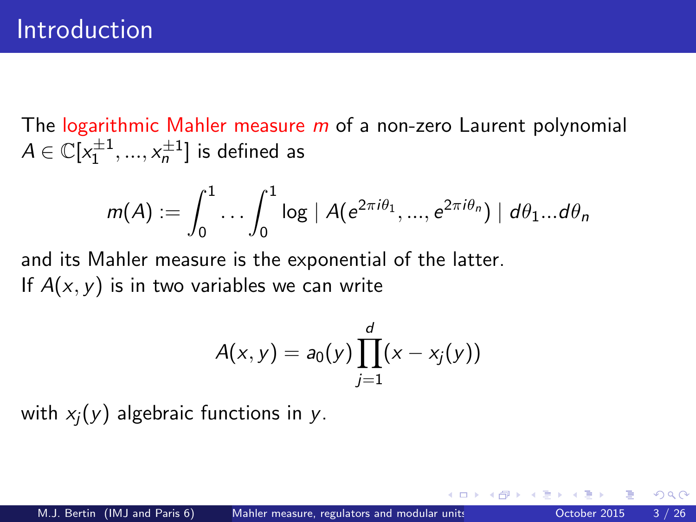The logarithmic Mahler measure m of a non-zero Laurent polynomial  $A \in \mathbb{C}[x_1^{\pm 1},...,x_n^{\pm 1}]$  is defined as

$$
m(A) := \int_0^1 \ldots \int_0^1 \log |A(e^{2\pi i \theta_1}, ..., e^{2\pi i \theta_n})| d\theta_1...d\theta_n
$$

and its Mahler measure is the exponential of the latter. If  $A(x, y)$  is in two variables we can write

$$
A(x, y) = a_0(y) \prod_{j=1}^d (x - x_j(y))
$$

with  $x_i(y)$  algebraic functions in y.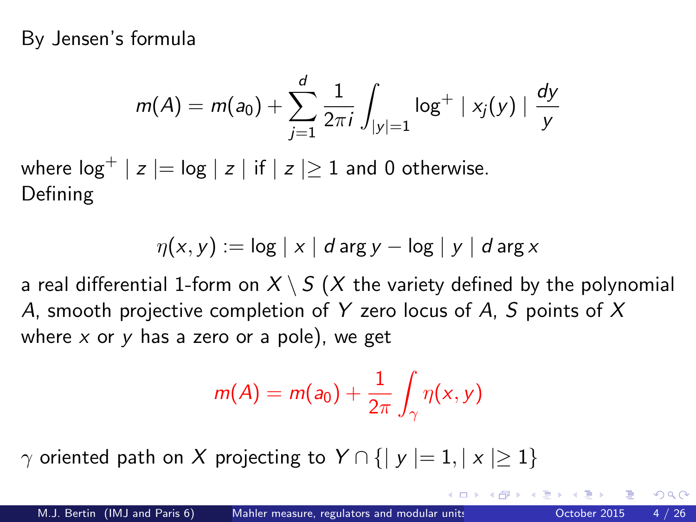By Jensen's formula

$$
m(A) = m(a_0) + \sum_{j=1}^{d} \frac{1}{2\pi i} \int_{|y|=1} \log^+ |x_j(y)| \frac{dy}{y}
$$

where  $\log^+ |z| = \log |z|$  if  $|z| \ge 1$  and 0 otherwise. Defining

$$
\eta(x,y) := \log |x| \, d \arg y - \log |y| \, d \arg x
$$

a real differential 1-form on  $X \setminus S$  (X the variety defined by the polynomial A, smooth projective completion of Y zero locus of A, S points of X where  $x$  or  $y$  has a zero or a pole), we get

$$
m(A) = m(a_0) + \frac{1}{2\pi} \int_{\gamma} \eta(x, y)
$$

 $\gamma$  oriented path on X projecting to  $Y \cap \{ |y| = 1, |x| \geq 1 \}$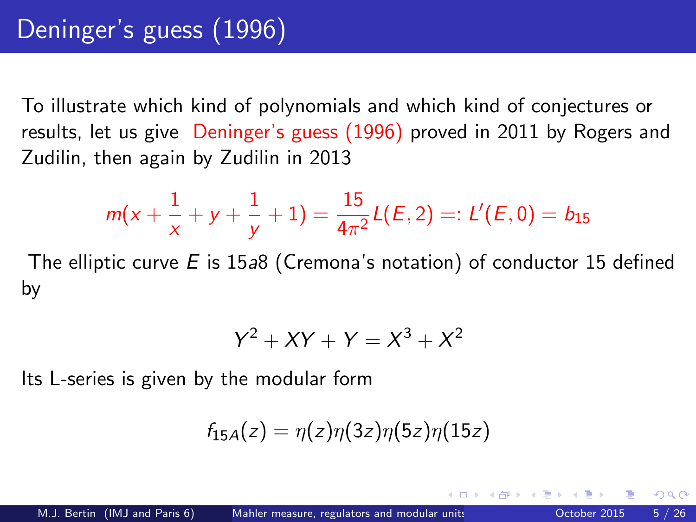To illustrate which kind of polynomials and which kind of conjectures or results, let us give Deninger's guess (1996) proved in 2011 by Rogers and Zudilin, then again by Zudilin in 2013

$$
m(x+\frac{1}{x}+y+\frac{1}{y}+1)=\frac{15}{4\pi^2}L(E,2)=:L'(E,0)=b_{15}
$$

The elliptic curve  $E$  is 15a8 (Cremona's notation) of conductor 15 defined by

$$
Y^2 + XY + Y = X^3 + X^2
$$

Its L-series is given by the modular form

$$
f_{15A}(z)=\eta(z)\eta(3z)\eta(5z)\eta(15z)
$$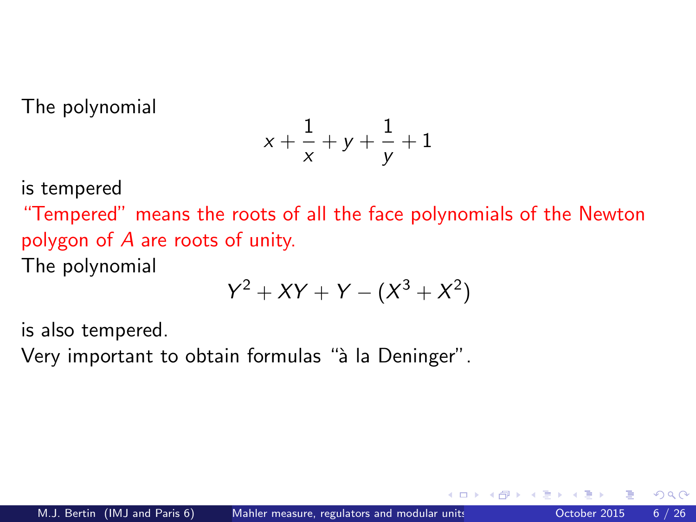The polynomial

$$
x + \frac{1}{x} + y + \frac{1}{y} + 1
$$

is tempered

"Tempered" means the roots of all the face polynomials of the Newton polygon of A are roots of unity.

The polynomial

$$
Y^2+XY+Y-(X^3+X^2)\\
$$

is also tempered.

Very important to obtain formulas "à la Deninger".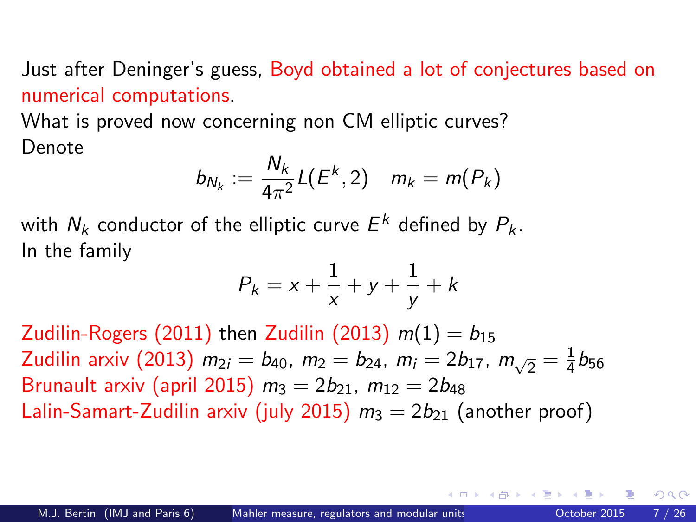Just after Deninger's guess, Boyd obtained a lot of conjectures based on numerical computations.

What is proved now concerning non CM elliptic curves? Denote

$$
b_{N_k}:=\frac{N_k}{4\pi^2}L(E^k,2) \quad m_k=m(P_k)
$$

with  $\mathcal{N}_k$  conductor of the elliptic curve  $E^k$  defined by  $P_k.$ In the family

$$
P_k = x + \frac{1}{x} + y + \frac{1}{y} + k
$$

Zudilin-Rogers (2011) then Zudilin (2013)  $m(1) = b_{15}$ Zudilin arxiv (2013)  $m_{2i} = b_{40}$ ,  $m_2 = b_{24}$ ,  $m_i = 2b_{17}$ ,  $m_{\sqrt{2}} = \frac{1}{4}$  $\frac{1}{4}b_{56}$ Brunault arxiv (april 2015)  $m_3 = 2b_{21}$ ,  $m_{12} = 2b_{48}$ Lalin-Samart-Zudilin arxiv (july 2015)  $m_3 = 2b_{21}$  (another proof)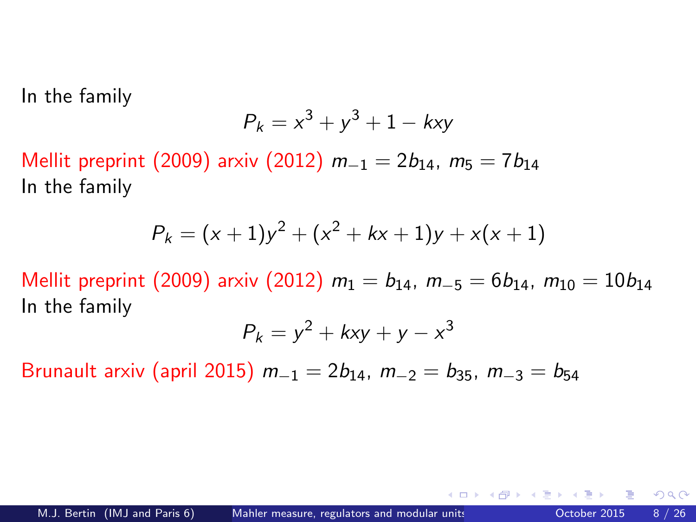In the family

$$
P_k = x^3 + y^3 + 1 - kxy
$$

Mellit preprint (2009) arxiv (2012)  $m_{-1} = 2b_{14}$ ,  $m_5 = 7b_{14}$ In the family

$$
P_k = (x + 1)y^2 + (x^2 + kx + 1)y + x(x + 1)
$$

Mellit preprint (2009) arxiv (2012)  $m_1 = b_{14}$ ,  $m_{-5} = 6b_{14}$ ,  $m_{10} = 10b_{14}$ In the family

$$
P_k = y^2 + kxy + y - x^3
$$

Brunault arxiv (april 2015)  $m_{-1} = 2b_{14}$ ,  $m_{-2} = b_{35}$ ,  $m_{-3} = b_{54}$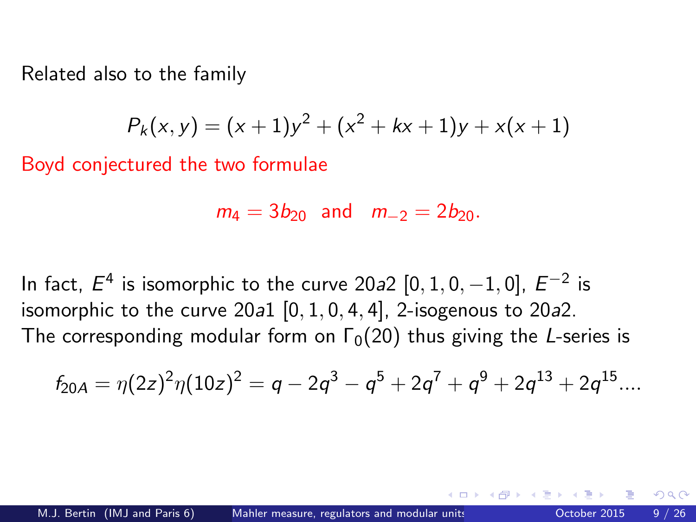Related also to the family

$$
P_k(x, y) = (x + 1)y^2 + (x^2 + kx + 1)y + x(x + 1)
$$

Boyd conjectured the two formulae

$$
m_4 = 3b_{20}
$$
 and  $m_{-2} = 2b_{20}$ .

In fact,  $E^4$  is isomorphic to the curve 20a2  $[0,1,0,-1,0]$ ,  $E^{-2}$  is isomorphic to the curve  $20a1$   $[0, 1, 0, 4, 4]$ , 2-isogenous to  $20a2$ . The corresponding modular form on  $\Gamma_0(20)$  thus giving the L-series is

$$
f_{20A} = \eta(2z)^2 \eta(10z)^2 = q - 2q^3 - q^5 + 2q^7 + q^9 + 2q^{13} + 2q^{15} \dots
$$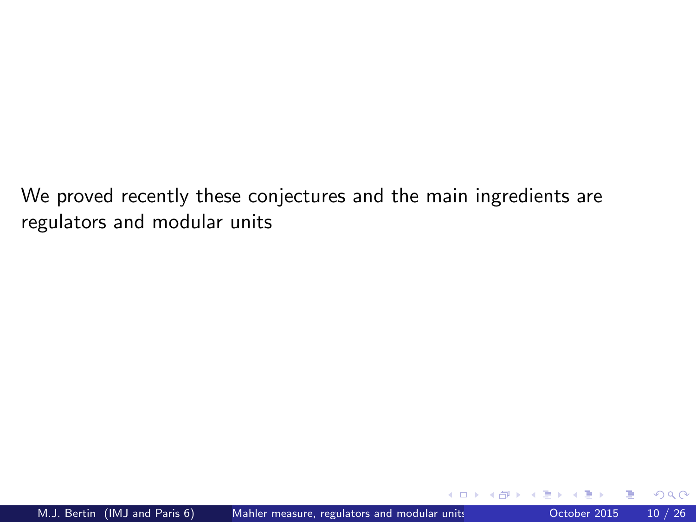We proved recently these conjectures and the main ingredients are regulators and modular units

 $\leftarrow$ 

 $QQ$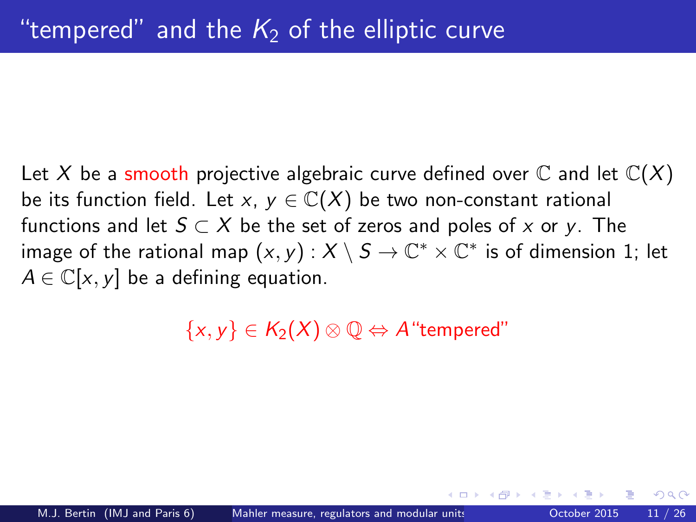Let X be a smooth projective algebraic curve defined over  $\mathbb C$  and let  $\mathbb C(X)$ be its function field. Let x,  $y \in \mathbb{C}(X)$  be two non-constant rational functions and let  $S \subset X$  be the set of zeros and poles of x or y. The image of the rational map  $(x,y): X\setminus S \to \mathbb{C}^* \times \mathbb{C}^*$  is of dimension 1; let  $A \in \mathbb{C}[x, y]$  be a defining equation.

 $\{x, y\} \in K_2(X) \otimes \mathbb{Q} \Leftrightarrow A$  "tempered"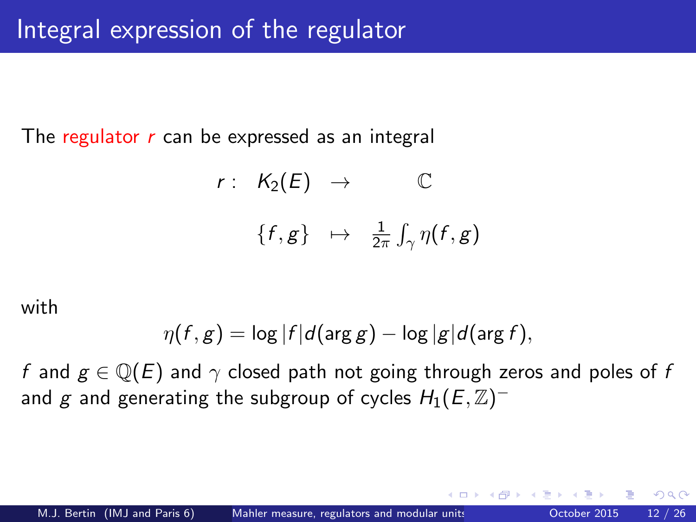The regulator  $r$  can be expressed as an integral

$$
r: K_2(E) \rightarrow \mathbb{C}
$$
  

$$
\{f, g\} \mapsto \frac{1}{2\pi} \int_{\gamma} \eta(f, g)
$$

with

$$
\eta(f,g) = \log |f| d(\arg g) - \log |g| d(\arg f),
$$

f and  $g \in \mathbb{Q}(E)$  and  $\gamma$  closed path not going through zeros and poles of f and  $g$  and generating the subgroup of cycles  $H_1(E,\mathbb{Z})^+$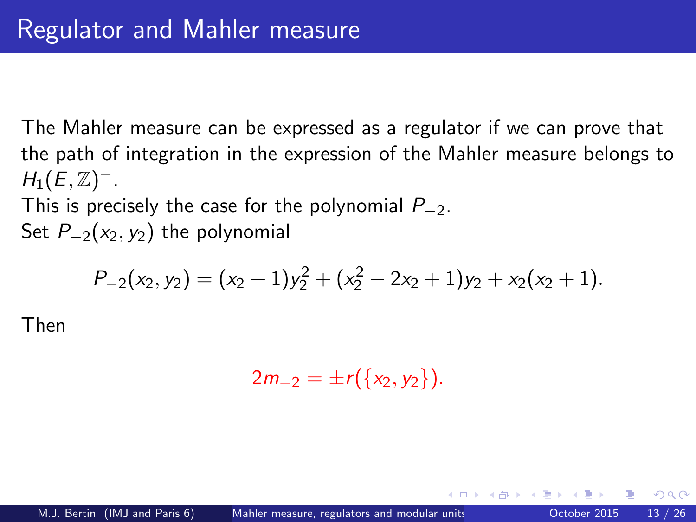The Mahler measure can be expressed as a regulator if we can prove that the path of integration in the expression of the Mahler measure belongs to  $H_1(E,\mathbb{Z})^-$ .

This is precisely the case for the polynomial  $P_{-2}$ .

Set  $P_{-2}(x_2, y_2)$  the polynomial

$$
P_{-2}(x_2, y_2) = (x_2 + 1)y_2^2 + (x_2^2 - 2x_2 + 1)y_2 + x_2(x_2 + 1).
$$

Then

$$
2m_{-2}=\pm r(\{x_2,y_2\}).
$$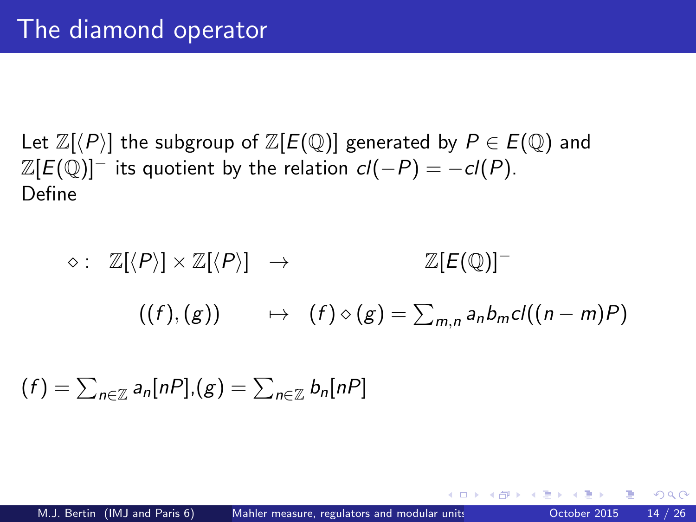Let  $\mathbb{Z}[\langle P \rangle]$  the subgroup of  $\mathbb{Z}[E(\mathbb{Q})]$  generated by  $P \in E(\mathbb{Q})$  and  $\mathbb{Z}[E(\mathbb{Q})]^-$  its quotient by the relation  $cl(-P) = -cl(P)$ . Define

$$
\diamond: \mathbb{Z}[\langle P \rangle] \times \mathbb{Z}[\langle P \rangle] \rightarrow \mathbb{Z}[E(\mathbb{Q})]^-
$$
  

$$
((f), (g)) \rightarrow (f) \diamond (g) = \sum_{m,n} a_n b_m cl((n-m)P)
$$

$$
(f) = \sum_{n \in \mathbb{Z}} a_n [nP], (g) = \sum_{n \in \mathbb{Z}} b_n [nP]
$$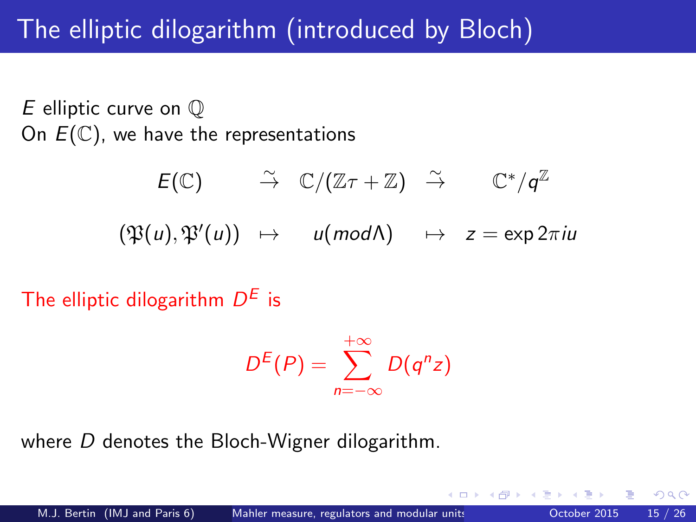# The elliptic dilogarithm (introduced by Bloch)

E elliptic curve on Q On  $E(\mathbb{C})$ , we have the representations

$$
\begin{array}{lclcl} E(\mathbb{C}) & \stackrel{\sim}{\to} & \mathbb{C}/(\mathbb{Z}\tau + \mathbb{Z}) & \stackrel{\sim}{\to} & \mathbb{C}^*/q^{\mathbb{Z}} \\ & & & \\ (\mathfrak{P}(u),\mathfrak{P}'(u)) & \mapsto & u(mod \Lambda) & \mapsto & z= \exp 2\pi i u \end{array}
$$

The elliptic dilogarithm  $D^E$  is

$$
D^{E}(P)=\sum_{n=-\infty}^{+\infty}D(q^{n}z)
$$

where D denotes the Bloch-Wigner dilogarithm.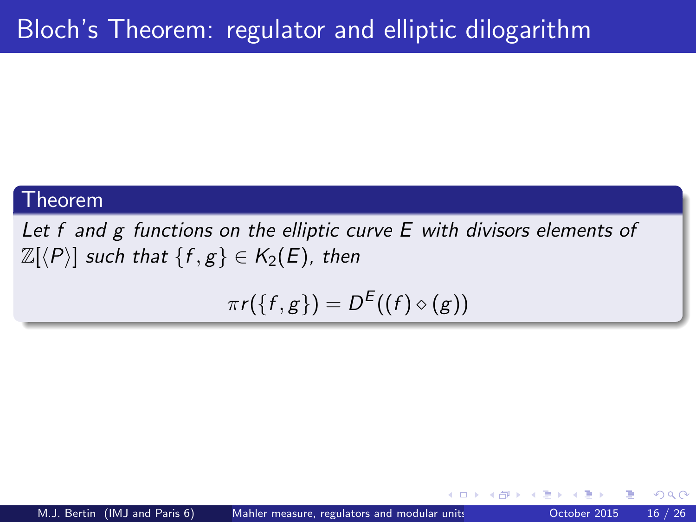#### Theorem

Let f and g functions on the elliptic curve E with divisors elements of  $\mathbb{Z}[\langle P \rangle]$  such that  $\{f, g\} \in K_2(E)$ , then

$$
\pi r(\lbrace f,g \rbrace) = D^{E}((f) \diamond (g))
$$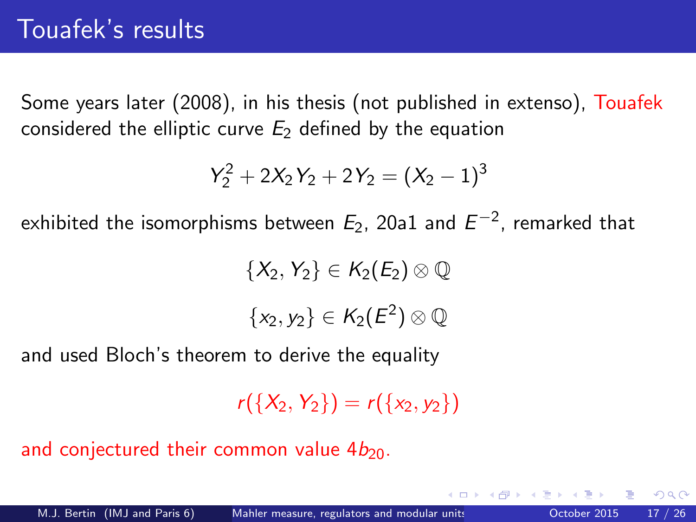Some years later (2008), in his thesis (not published in extenso), Touafek considered the elliptic curve  $E_2$  defined by the equation

$$
Y_2^2 + 2X_2Y_2 + 2Y_2 = (X_2 - 1)^3
$$

exhibited the isomorphisms between  $E_2$ , 20a1 and  $E^{\rm -2}$ , remarked that

 $\{X_2, Y_2\} \in K_2(E_2) \otimes \mathbb{Q}$ 

 $\{x_2,y_2\}\in \mathcal{K}_2(E^2)\otimes \mathbb{Q}$ 

and used Bloch's theorem to derive the equality

 $r({X_2, Y_2}) = r({X_2, Y_2})$ 

and conjectured their common value  $4b_{20}$ .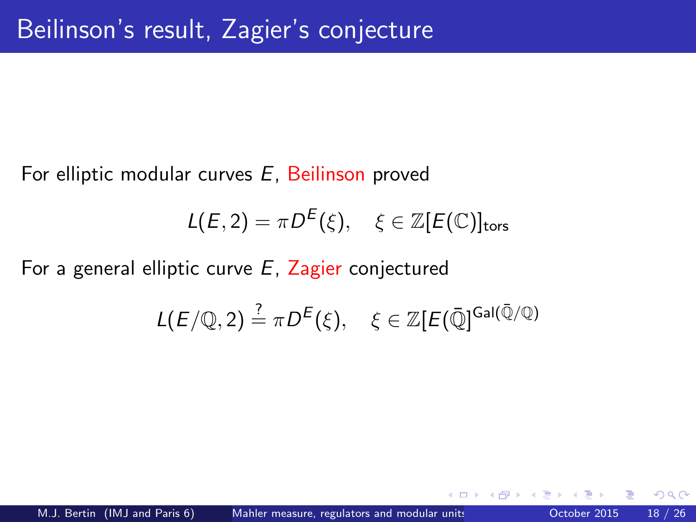For elliptic modular curves E, Beilinson proved

$$
L(E,2) = \pi D^{E}(\xi), \quad \xi \in \mathbb{Z}[E(\mathbb{C})]_{\text{tors}}
$$

For a general elliptic curve  $E$ , Zagier conjectured

$$
L(E/\mathbb{Q},2) \stackrel{?}{=} \pi D^{E}(\xi), \quad \xi \in \mathbb{Z}[E(\bar{\mathbb{Q}})^{\mathsf{Gal}(\bar{\mathbb{Q}}/\mathbb{Q})}
$$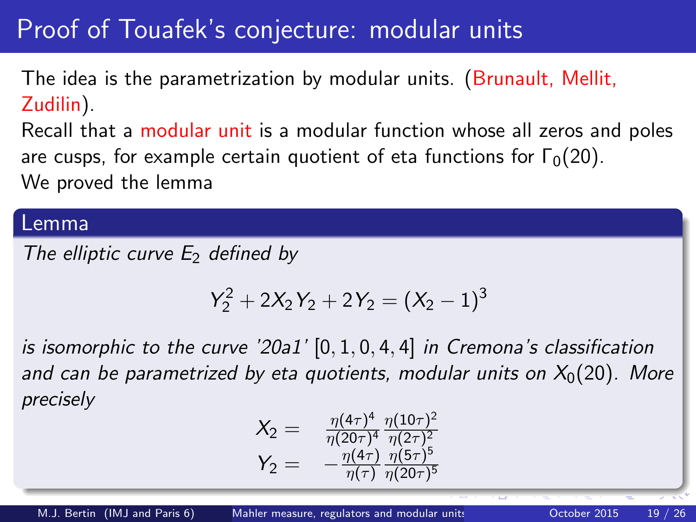# Proof of Touafek's conjecture: modular units

The idea is the parametrization by modular units. (Brunault, Mellit, Zudilin).

Recall that a modular unit is a modular function whose all zeros and poles are cusps, for example certain quotient of eta functions for  $\Gamma_0(20)$ . We proved the lemma

### Lemma

The elliptic curve  $E_2$  defined by

$$
Y_2^2+2X_2Y_2+2Y_2=(X_2-1)^3\\
$$

is isomorphic to the curve '20a1'  $[0, 1, 0, 4, 4]$  in Cremona's classification and can be parametrized by eta quotients, modular units on  $X_0(20)$ . More precisely

$$
X_2 = \frac{\eta(4\tau)^4}{\eta(20\tau)^4} \frac{\eta(10\tau)^2}{\eta(2\tau)^2}
$$
  

$$
Y_2 = -\frac{\eta(4\tau)}{\eta(\tau)} \frac{\eta(5\tau)^5}{\eta(20\tau)^5}
$$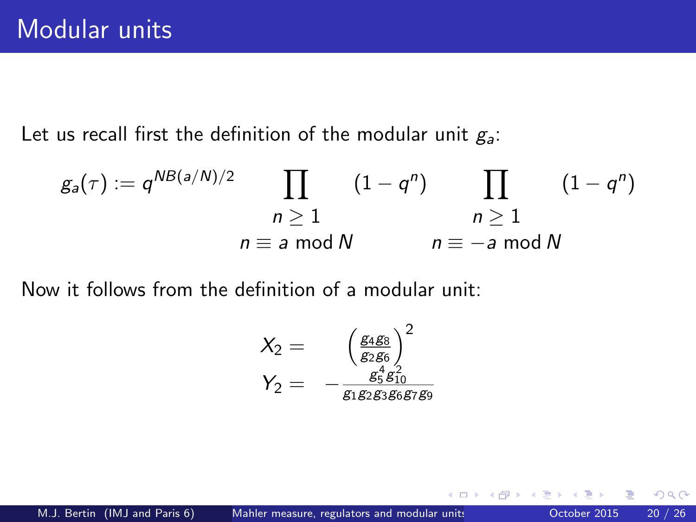Let us recall first the definition of the modular unit  $g_a$ :

$$
g_a(\tau) := q^{NB(a/N)/2} \prod_{\substack{n \geq 1 \\ n \equiv a \bmod N}} (1 - q^n) \prod_{\substack{n \geq 1 \\ n \equiv -a \bmod N}} (1 - q^n)
$$

Now it follows from the definition of a modular unit:

$$
\begin{array}{rcl}\nX_2 &=& \left(\frac{g_4 g_8}{g_2 g_6}\right)^2 \\
Y_2 &=& -\frac{g_5^4 g_{10}^2}{g_1 g_2 g_3 g_6 g_7 g_9}\n\end{array}
$$

4 D F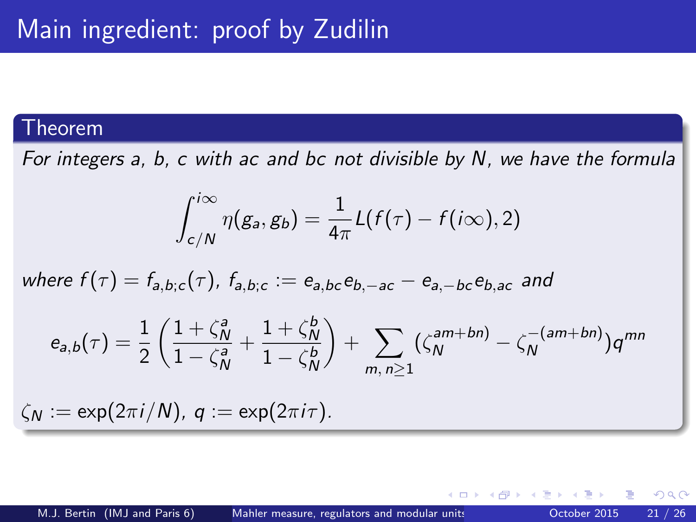### Theorem

For integers a, b, c with ac and bc not divisible by N, we have the formula

<span id="page-20-0"></span>
$$
\int_{c/N}^{i\infty} \eta(g_a, g_b) = \frac{1}{4\pi} L(f(\tau) - f(i\infty), 2)
$$

where 
$$
f(\tau) = f_{a,b;c}(\tau)
$$
,  $f_{a,b;c} := e_{a,bc}e_{b,-ac} - e_{a,-bc}e_{b,ac}$  and

$$
e_{a,b}(\tau)=\frac{1}{2}\left(\frac{1+\zeta_N^a}{1-\zeta_N^a}+\frac{1+\zeta_N^b}{1-\zeta_N^b}\right)+\sum_{m,\,n\geq 1}(\zeta_N^{am+bn})-\zeta_N^{-(am+bn)})q^{mn}
$$

 $\zeta_N := \exp(2\pi i/N), \ q := \exp(2\pi i \tau).$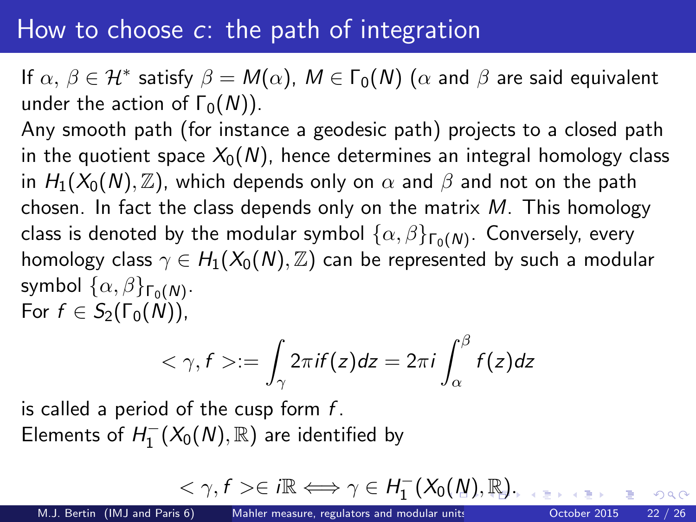### How to choose  $c$ : the path of integration

If  $\alpha,\,\beta\in\mathcal{H}^*$  satisfy  $\beta=M(\alpha),\ M\in\Gamma_0(\mathcal{N})$   $(\alpha$  and  $\beta$  are said equivalent under the action of  $\Gamma_0(N)$ ).

Any smooth path (for instance a geodesic path) projects to a closed path in the quotient space  $X_0(N)$ , hence determines an integral homology class in  $H_1(X_0(N), \mathbb{Z})$ , which depends only on  $\alpha$  and  $\beta$  and not on the path chosen. In fact the class depends only on the matrix  $M$ . This homology class is denoted by the modular symbol  $\{\alpha,\beta\}_{\mathsf{\Gamma}_0(\mathsf{N})}.$  Conversely, every homology class  $\gamma \in H_1(X_0(N), \mathbb{Z})$  can be represented by such a modular symbol  $\{\alpha,\beta\}_{\mathsf{\Gamma}_0(\mathsf{N})}.$ For  $f \in S_2(\Gamma_0(N))$ ,

$$
\langle \gamma, f \rangle := \int_{\gamma} 2\pi i f(z) dz = 2\pi i \int_{\alpha}^{\beta} f(z) dz
$$

is called a period of the cusp form  $f$ . Elements of  $H_1^-(X_0(N),\mathbb{R})$  are identified by

<span id="page-21-0"></span>
$$
\langle \gamma, f \rangle \in i\mathbb{R} \Longleftrightarrow \gamma \in H_1^-(X_0(\underline{N}), \mathbb{R}).
$$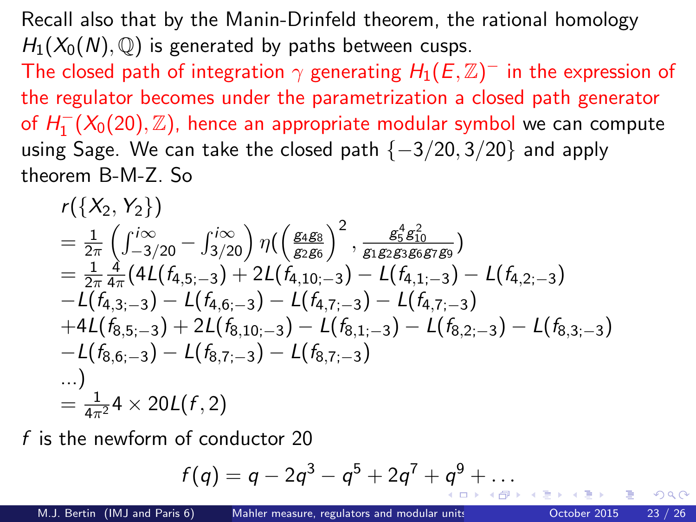Recall also that by the Manin-Drinfeld theorem, the rational homology  $H_1(X_0(N), \mathbb{Q})$  is generated by paths between cusps.

The closed path of integration  $\gamma$  generating  $H_1(E,\mathbb{Z})^+$  in the expression of the regulator becomes under the parametrization a closed path generator of  $H_1^-(X_0(20),\mathbb{Z})$ , hence an appropriate modular symbol we can compute using Sage. We can take the closed path {-3/20, 3/20} and apply theorem B-M-Z. So

$$
r({X_2, Y_2})
$$
\n
$$
= \frac{1}{2\pi} \left( \int_{-3/20}^{i\infty} - \int_{3/20}^{i\infty} \right) \eta \left( \frac{g_4 g_8}{g_2 g_6} \right)^2, \frac{g_5^4 g_{10}^2}{g_1 g_2 g_3 g_6 g_7 g_9}
$$
\n
$$
= \frac{1}{2\pi} \frac{4}{4\pi} (4L(f_{4,5;-3}) + 2L(f_{4,10;-3}) - L(f_{4,1;-3}) - L(f_{4,2;-3})
$$
\n
$$
-L(f_{4,3;-3}) - L(f_{4,6;-3}) - L(f_{4,7;-3}) - L(f_{4,7;-3})
$$
\n
$$
+ 4L(f_{8,5;-3}) + 2L(f_{8,10;-3}) - L(f_{8,1;-3}) - L(f_{8,2;-3}) - L(f_{8,3;-3})
$$
\n
$$
-L(f_{8,6;-3}) - L(f_{8,7;-3}) - L(f_{8,7;-3})
$$
\n
$$
= \frac{1}{4\pi^2} 4 \times 20L(f, 2)
$$

f is the newform of conductor 20

<span id="page-22-0"></span>
$$
f(q) = q - 2q^3 - q^5 + 2q^7 + q^9 + \dots
$$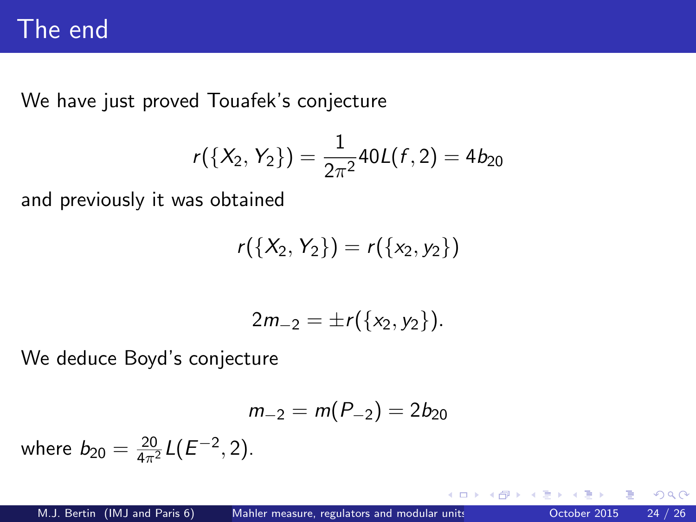## The end

We have just proved Touafek's conjecture

$$
r({X_2, Y_2}) = \frac{1}{2\pi^2}40L(f, 2) = 4b_{20}
$$

and previously it was obtained

$$
r({X_2, Y_2}) = r({x_2, y_2})
$$

$$
2m_{-2}=\pm r(\{x_2,y_2\}).
$$

We deduce Boyd's conjecture

<span id="page-23-0"></span>
$$
m_{-2}=m(P_{-2})=2b_{20}
$$

where  $b_{20} = \frac{20}{4\pi^2} L(E^{-2}, 2)$ .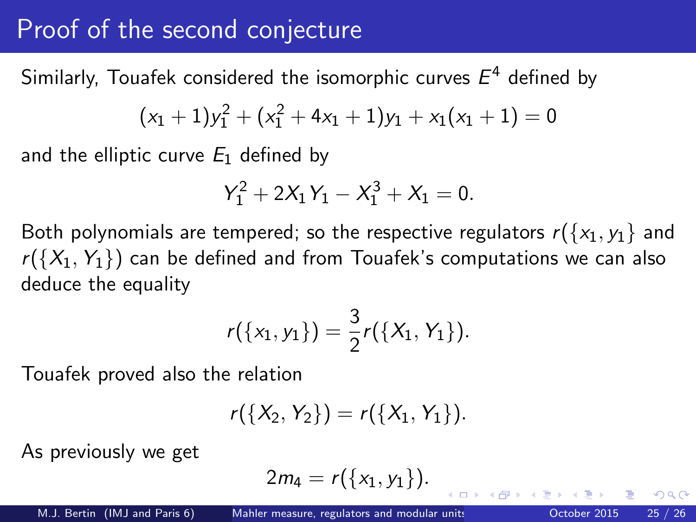## Proof of the second conjecture

Similarly, Touafek considered the isomorphic curves  $E^4$  defined by

$$
(x_1+1)y_1^2+(x_1^2+4x_1+1)y_1+x_1(x_1+1)=0\\
$$

and the elliptic curve  $E_1$  defined by

$$
Y_1^2 + 2X_1Y_1 - X_1^3 + X_1 = 0.
$$

Both polynomials are tempered; so the respective regulators  $r({x_1, y_1}$  and  $r({X_1, Y_1})$  can be defined and from Touafek's computations we can also deduce the equality

$$
r({x_1,y_1})=\frac{3}{2}r({X_1,Y_1}).
$$

Touafek proved also the relation

$$
r({X_2, Y_2}) = r({X_1, Y_1}).
$$

As previously we get

$$
2m_4=r(\{x_1,y_1\}).
$$